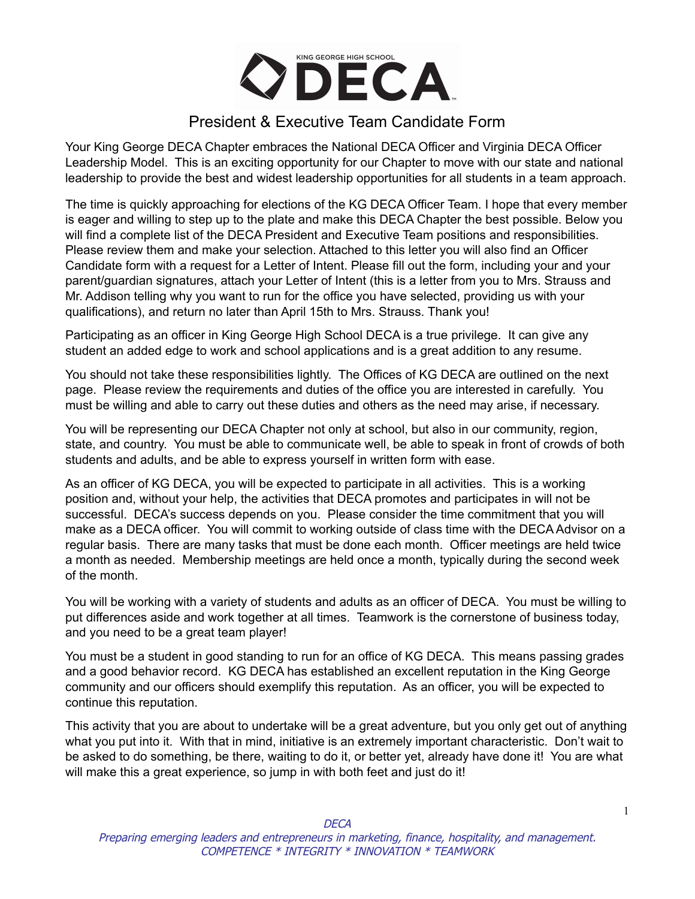

### President & Executive Team Candidate Form

Your King George DECA Chapter embraces the National DECA Officer and Virginia DECA Officer Leadership Model. This is an exciting opportunity for our Chapter to move with our state and national leadership to provide the best and widest leadership opportunities for all students in a team approach.

The time is quickly approaching for elections of the KG DECA Officer Team. I hope that every member is eager and willing to step up to the plate and make this DECA Chapter the best possible. Below you will find a complete list of the DECA President and Executive Team positions and responsibilities. Please review them and make your selection. Attached to this letter you will also find an Officer Candidate form with a request for a Letter of Intent. Please fill out the form, including your and your parent/guardian signatures, attach your Letter of Intent (this is a letter from you to Mrs. Strauss and Mr. Addison telling why you want to run for the office you have selected, providing us with your qualifications), and return no later than April 15th to Mrs. Strauss. Thank you!

Participating as an officer in King George High School DECA is a true privilege. It can give any student an added edge to work and school applications and is a great addition to any resume.

You should not take these responsibilities lightly. The Offices of KG DECA are outlined on the next page. Please review the requirements and duties of the office you are interested in carefully. You must be willing and able to carry out these duties and others as the need may arise, if necessary.

You will be representing our DECA Chapter not only at school, but also in our community, region, state, and country. You must be able to communicate well, be able to speak in front of crowds of both students and adults, and be able to express yourself in written form with ease.

As an officer of KG DECA, you will be expected to participate in all activities. This is a working position and, without your help, the activities that DECA promotes and participates in will not be successful. DECA's success depends on you. Please consider the time commitment that you will make as a DECA officer. You will commit to working outside of class time with the DECA Advisor on a regular basis. There are many tasks that must be done each month. Officer meetings are held twice a month as needed. Membership meetings are held once a month, typically during the second week of the month.

You will be working with a variety of students and adults as an officer of DECA. You must be willing to put differences aside and work together at all times. Teamwork is the cornerstone of business today, and you need to be a great team player!

You must be a student in good standing to run for an office of KG DECA. This means passing grades and a good behavior record. KG DECA has established an excellent reputation in the King George community and our officers should exemplify this reputation. As an officer, you will be expected to continue this reputation.

This activity that you are about to undertake will be a great adventure, but you only get out of anything what you put into it. With that in mind, initiative is an extremely important characteristic. Don't wait to be asked to do something, be there, waiting to do it, or better yet, already have done it! You are what will make this a great experience, so jump in with both feet and just do it!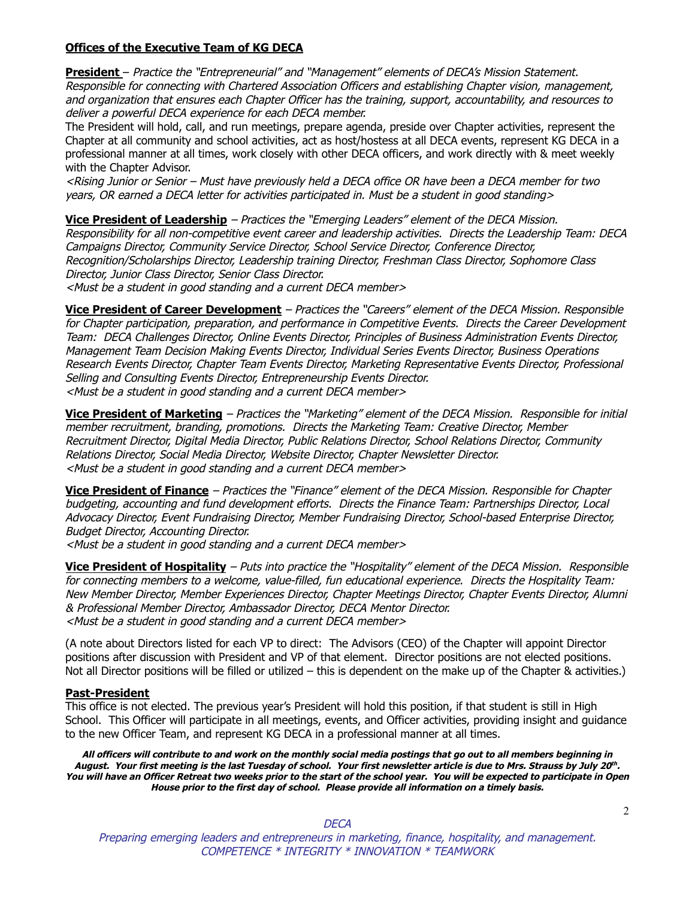#### **Offices of the Executive Team of KG DECA**

**President** – Practice the "Entrepreneurial" and "Management" elements of DECA's Mission Statement. Responsible for connecting with Chartered Association Officers and establishing Chapter vision, management, and organization that ensures each Chapter Officer has the training, support, accountability, and resources to deliver <sup>a</sup> powerful DECA experience for each DECA member.

The President will hold, call, and run meetings, prepare agenda, preside over Chapter activities, represent the Chapter at all community and school activities, act as host/hostess at all DECA events, represent KG DECA in a professional manner at all times, work closely with other DECA officers, and work directly with & meet weekly with the Chapter Advisor.

<Rising Junior or Senior – Must have previously held <sup>a</sup> DECA office OR have been <sup>a</sup> DECA member for two years, OR earned <sup>a</sup> DECA letter for activities participated in. Must be <sup>a</sup> student in good standing>

**Vice President of Leadership** – Practices the "Emerging Leaders" element of the DECA Mission. Responsibility for all non-competitive event career and leadership activities. Directs the Leadership Team: DECA Campaigns Director, Community Service Director, School Service Director, Conference Director, Recognition/Scholarships Director, Leadership training Director, Freshman Class Director, Sophomore Class Director, Junior Class Director, Senior Class Director. <Must be <sup>a</sup> student in good standing and <sup>a</sup> current DECA member>

**Vice President of Career Development** – Practices the "Careers" element of the DECA Mission. Responsible for Chapter participation, preparation, and performance in Competitive Events. Directs the Career Development Team: DECA Challenges Director, Online Events Director, Principles of Business Administration Events Director, Management Team Decision Making Events Director, Individual Series Events Director, Business Operations Research Events Director, Chapter Team Events Director, Marketing Representative Events Director, Professional Selling and Consulting Events Director, Entrepreneurship Events Director. <Must be <sup>a</sup> student in good standing and <sup>a</sup> current DECA member>

**Vice President of Marketing** – Practices the "Marketing" element of the DECA Mission. Responsible for initial member recruitment, branding, promotions. Directs the Marketing Team: Creative Director, Member Recruitment Director, Digital Media Director, Public Relations Director, School Relations Director, Community Relations Director, Social Media Director, Website Director, Chapter Newsletter Director. <Must be <sup>a</sup> student in good standing and <sup>a</sup> current DECA member>

**Vice President of Finance** – Practices the "Finance" element of the DECA Mission. Responsible for Chapter budgeting, accounting and fund development efforts. Directs the Finance Team: Partnerships Director, Local Advocacy Director, Event Fundraising Director, Member Fundraising Director, School-based Enterprise Director, Budget Director, Accounting Director.

<Must be <sup>a</sup> student in good standing and <sup>a</sup> current DECA member>

**Vice President of Hospitality** – Puts into practice the "Hospitality" element of the DECA Mission. Responsible for connecting members to <sup>a</sup> welcome, value-filled, fun educational experience. Directs the Hospitality Team: New Member Director, Member Experiences Director, Chapter Meetings Director, Chapter Events Director, Alumni & Professional Member Director, Ambassador Director, DECA Mentor Director. <Must be <sup>a</sup> student in good standing and <sup>a</sup> current DECA member>

(A note about Directors listed for each VP to direct: The Advisors (CEO) of the Chapter will appoint Director positions after discussion with President and VP of that element. Director positions are not elected positions. Not all Director positions will be filled or utilized – this is dependent on the make up of the Chapter & activities.)

#### **Past-President**

This office is not elected. The previous year's President will hold this position, if that student is still in High School. This Officer will participate in all meetings, events, and Officer activities, providing insight and guidance to the new Officer Team, and represent KG DECA in a professional manner at all times.

All officers will contribute to and work on the monthly social media postings that go out to all members beginning in August. Your first meeting is the last Tuesday of school. Your first newsletter article is due to Mrs. Strauss by July 20th. You will have an Officer Retreat two weeks prior to the start of the school year. You will be expected to participate in Open **House prior to the first day of school. Please provide all information on <sup>a</sup> timely basis.**

**DECA** 

Preparing emerging leaders and entrepreneurs in marketing, finance, hospitality, and management. COMPETENCE \* INTEGRITY \* INNOVATION \* TEAMWORK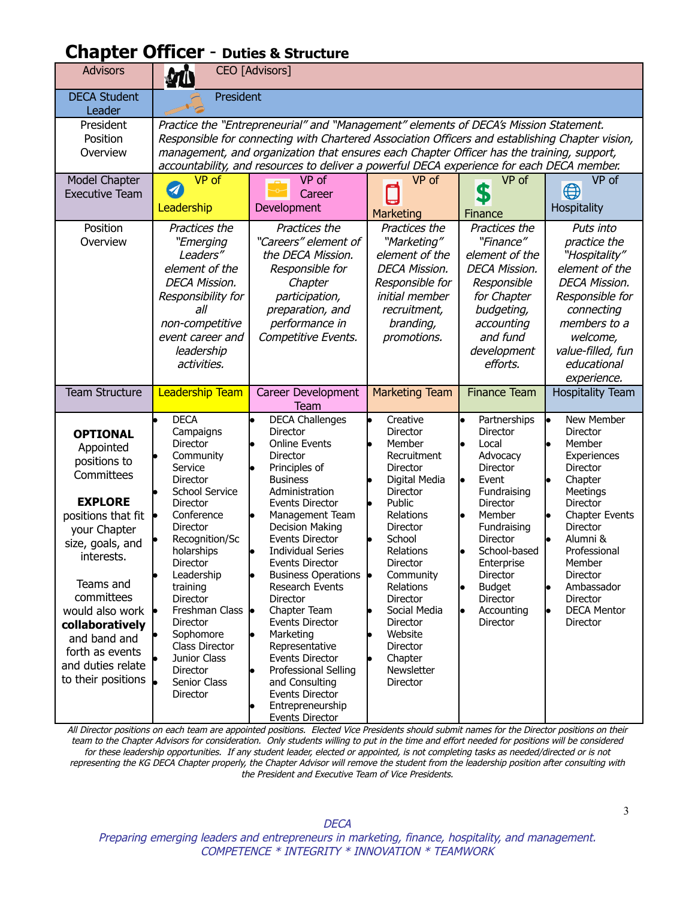## **Chapter Officer** - **Duties & Structure**

| <b>Advisors</b>                                                                                                                                                                                                                                                                                     | CEO [Advisors]                                                                                                                                                                                                                                                                                                                                                                     |                                                                                                                                                                                                                                                                                                                                                                                                                                                                                                                                                                         |                                                                                                                                                                                                                                                                                                                                      |                                                                                                                                                                                                                                                                        |                                                                                                                                                                                                                                                          |
|-----------------------------------------------------------------------------------------------------------------------------------------------------------------------------------------------------------------------------------------------------------------------------------------------------|------------------------------------------------------------------------------------------------------------------------------------------------------------------------------------------------------------------------------------------------------------------------------------------------------------------------------------------------------------------------------------|-------------------------------------------------------------------------------------------------------------------------------------------------------------------------------------------------------------------------------------------------------------------------------------------------------------------------------------------------------------------------------------------------------------------------------------------------------------------------------------------------------------------------------------------------------------------------|--------------------------------------------------------------------------------------------------------------------------------------------------------------------------------------------------------------------------------------------------------------------------------------------------------------------------------------|------------------------------------------------------------------------------------------------------------------------------------------------------------------------------------------------------------------------------------------------------------------------|----------------------------------------------------------------------------------------------------------------------------------------------------------------------------------------------------------------------------------------------------------|
| <b>DECA Student</b><br>Leader                                                                                                                                                                                                                                                                       | President                                                                                                                                                                                                                                                                                                                                                                          |                                                                                                                                                                                                                                                                                                                                                                                                                                                                                                                                                                         |                                                                                                                                                                                                                                                                                                                                      |                                                                                                                                                                                                                                                                        |                                                                                                                                                                                                                                                          |
| President<br>Position<br>Overview                                                                                                                                                                                                                                                                   | Practice the "Entrepreneurial" and "Management" elements of DECA's Mission Statement.<br>Responsible for connecting with Chartered Association Officers and establishing Chapter vision,<br>management, and organization that ensures each Chapter Officer has the training, support,<br>accountability, and resources to deliver a powerful DECA experience for each DECA member. |                                                                                                                                                                                                                                                                                                                                                                                                                                                                                                                                                                         |                                                                                                                                                                                                                                                                                                                                      |                                                                                                                                                                                                                                                                        |                                                                                                                                                                                                                                                          |
| Model Chapter<br><b>Executive Team</b>                                                                                                                                                                                                                                                              | VP of<br>A<br>Leadership                                                                                                                                                                                                                                                                                                                                                           | VP of<br>Career<br>Development                                                                                                                                                                                                                                                                                                                                                                                                                                                                                                                                          | VP of<br>Marketing                                                                                                                                                                                                                                                                                                                   | VP of<br>\$<br>Finance                                                                                                                                                                                                                                                 | VP of<br>$\bigoplus$<br>Hospitality                                                                                                                                                                                                                      |
| Position<br>Overview                                                                                                                                                                                                                                                                                | Practices the<br>"Emerging<br>Leaders"<br>element of the<br><b>DECA Mission.</b><br>Responsibility for<br>all<br>non-competitive<br>event career and<br>leadership<br>activities.                                                                                                                                                                                                  | Practices the<br>"Careers" element of<br>the DECA Mission.<br>Responsible for<br>Chapter<br>participation,<br>preparation, and<br>performance in<br>Competitive Events.                                                                                                                                                                                                                                                                                                                                                                                                 | Practices the<br>"Marketing"<br>element of the<br><b>DECA Mission.</b><br>Responsible for<br>initial member<br>recruitment,<br>branding,<br>promotions.                                                                                                                                                                              | Practices the<br>"Finance"<br>element of the<br><b>DECA Mission.</b><br>Responsible<br>for Chapter<br>budgeting,<br>accounting<br>and fund<br>development<br>efforts.                                                                                                  | Puts into<br>practice the<br>"Hospitality"<br>element of the<br><b>DECA Mission.</b><br>Responsible for<br>connecting<br>members to a<br>welcome,<br>value-filled, fun<br>educational<br>experience.                                                     |
| <b>Team Structure</b>                                                                                                                                                                                                                                                                               | <b>Leadership Team</b>                                                                                                                                                                                                                                                                                                                                                             | Career Development<br><b>Team</b>                                                                                                                                                                                                                                                                                                                                                                                                                                                                                                                                       | <b>Marketing Team</b>                                                                                                                                                                                                                                                                                                                | <b>Finance Team</b>                                                                                                                                                                                                                                                    | <b>Hospitality Team</b>                                                                                                                                                                                                                                  |
| <b>OPTIONAL</b><br>Appointed<br>positions to<br>Committees<br><b>EXPLORE</b><br>positions that fit<br>your Chapter<br>size, goals, and<br>interests.<br>Teams and<br>committees<br>would also work<br>collaboratively<br>and band and<br>forth as events<br>and duties relate<br>to their positions | <b>DECA</b><br>Campaigns<br><b>Director</b><br>Community<br>Service<br><b>Director</b><br>School Service<br><b>Director</b><br>Conference<br>Director<br>Recognition/Sc<br>holarships<br>Director<br>Leadership<br>training<br><b>Director</b><br>Freshman Class  <br>Director<br>Sophomore<br><b>Class Director</b><br>Junior Class<br>Director<br>Senior Class<br>Director       | <b>DECA Challenges</b><br><b>Director</b><br><b>Online Events</b><br><b>Director</b><br>Principles of<br><b>Business</b><br>Administration<br><b>Events Director</b><br>Management Team<br><b>Decision Making</b><br><b>Events Director</b><br><b>Individual Series</b><br><b>Events Director</b><br>Business Operations •<br>Research Events<br><b>Director</b><br>Chapter Team<br>Events Director<br>Marketing<br>Representative<br>Events Director<br>Professional Selling<br>and Consulting<br><b>Events Director</b><br>Entrepreneurship<br><b>Events Director</b> | Creative<br><b>Director</b><br>Member<br>Recruitment<br><b>Director</b><br>Digital Media<br><b>Director</b><br>Public<br>Relations<br>Director<br>School<br>Relations<br>Director<br>Community<br>Relations<br><b>Director</b><br>Social Media<br>Director<br>Website<br><b>Director</b><br>Chapter<br>Newsletter<br><b>Director</b> | Partnerships<br><b>Director</b><br>Local<br>Advocacy<br><b>Director</b><br>Event<br>Fundraising<br><b>Director</b><br>Member<br>Fundraising<br><b>Director</b><br>School-based<br>Enterprise<br>Director<br><b>Budget</b><br>Director<br>Accounting<br><b>Director</b> | New Member<br>Director<br>Member<br>Experiences<br>Director<br>Chapter<br>Meetings<br><b>Director</b><br><b>Chapter Events</b><br>Director<br>Alumni &<br>Professional<br>Member<br>Director<br>Ambassador<br>Director<br><b>DECA Mentor</b><br>Director |

All Director positions on each team are appointed positions. Elected Vice Presidents should submit names for the Director positions on their team to the Chapter Advisors for consideration. Only students willing to put in the time and effort needed for positions will be considered for these leadership opportunities. If any student leader, elected or appointed, is not completing tasks as needed/directed or is not representing the KG DECA Chapter properly, the Chapter Advisor will remove the student from the leadership position after consulting with the President and Executive Team of Vice Presidents.

Preparing emerging leaders and entrepreneurs in marketing, finance, hospitality, and management. COMPETENCE \* INTEGRITY \* INNOVATION \* TEAMWORK